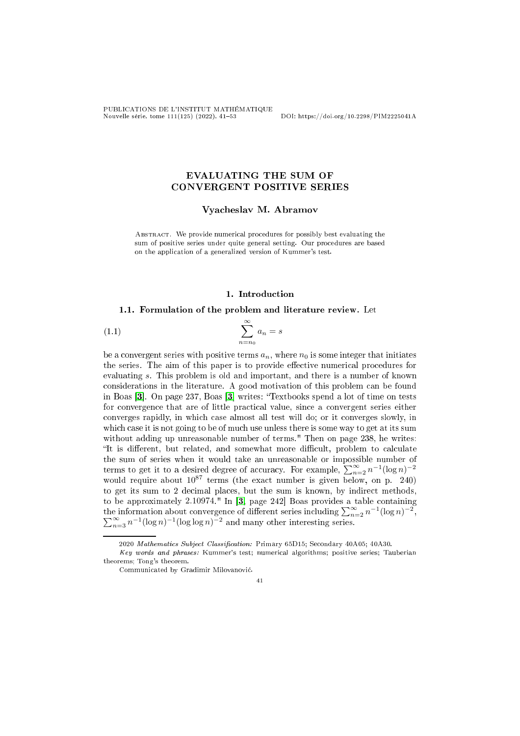PUBLICATIONS DE L'INSTITUT MATHÉMATIQUE Nouvelle série, tome 111(125) (2022), 4153 DOI: https://doi.org/10.2298/PIM2225041A

# EVALUATING THE SUM OF CONVERGENT POSITIVE SERIES

Vya
heslav M. Abramov

ABSTRACT. We provide numerical procedures for possibly best evaluating the sum of positive series under quite general setting. Our procedures are based on the appli
ation of a generalized version of Kummer's test.

# <span id="page-0-0"></span>1. Introduction

# 1.1. Formulation of the problem and literature review. Let

$$
(1.1)\qquad \qquad \sum_{n=n_0}^{\infty} a_n = s
$$

be a convergent series with positive terms  $a_n$ , where  $n_0$  is some integer that initiates the series. The aim of this paper is to provide effective numerical procedures for evaluating s. This problem is old and important, and there is <sup>a</sup> number of known considerations in the literature. A good motivation of this problem can be found in Boas  $[3]$ . On page 237, Boas  $[3]$  writes: "Textbooks spend a lot of time on tests for convergence that are of little practical value, since a convergent series either onverges rapidly, in whi
h ase almost all test will do; or it onverges slowly, in which case it is not going to be of much use unless there is some way to get at its sum without adding up unreasonable number of terms." Then on page 238, he writes: "It is different, but related, and somewhat more difficult, problem to calculate the sum of series when it would take an unreasonable or impossible number of terms to get it to a desired degree of accuracy. For example,  $\sum_{n=2}^{\infty} n^{-1} (\log n)^{-2}$ would require about  $10^{87}$  terms (the exact number is given below, on p. 240) to be approximately  $2.10974$ ." In  $\left[3, \text{ page } 242\right]$  $\left[3, \text{ page } 242\right]$  $\left[3, \text{ page } 242\right]$  Boas provides a table containing the information about convergence of different series including  $\sum_{n=2}^{\infty} n^{-1}(\log n)^{-2}$  $\sum_{n=3}^{\infty} n^{-1} (\log n)^{-1} (\log \log n)^{-2}$  and many other interesting series.

41

<sup>2020</sup> Mathematics Subject Classification: Primary 65D15; Secondary 40A05; 40A30.

Key words and phrases: Kummer's test; numeri
al algorithms; positive series; Tauberian theorems; Tong's theorem.

Communi
ated by Gradimir Milovanovi¢.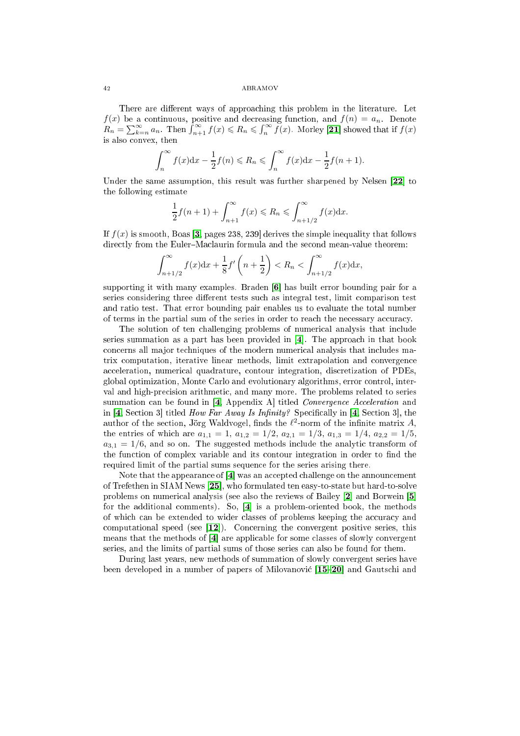There are different ways of approaching this problem in the literature. Let  $f(x)$  be a continuous, positive and decreasing function, and  $f(n) = a_n$ . Denote  $R_n = \sum_{k=n}^{\infty} a_n$ . Then  $\int_{n+1}^{\infty} f(x) \leq R_n \leq \int_n^{\infty} f(x)$ . Morley [21] showed that if  $f(x)$ is also onvex, then

$$
\int_{n}^{\infty} f(x)dx - \frac{1}{2}f(n) \le R_n \le \int_{n}^{\infty} f(x)dx - \frac{1}{2}f(n+1).
$$

Under the same assumption, this result was further sharpened by Nelsen  $[22]$  to the following estimate

$$
\frac{1}{2}f(n+1) + \int_{n+1}^{\infty} f(x) \le R_n \le \int_{n+1/2}^{\infty} f(x) dx.
$$

If  $f(x)$  is smooth, Boas [\[3,](#page-11-0) pages 238, 239] derives the simple inequality that follows directly from the Euler-Maclaurin formula and the second mean-value theorem:

$$
\int_{n+1/2}^{\infty} f(x) dx + \frac{1}{8} f'(n + \frac{1}{2}) < R_n < \int_{n+1/2}^{\infty} f(x) dx,
$$

supporting it with many examples. Braden  $[6]$  has built error bounding pair for a series considering three different tests such as integral test, limit comparison test and ratio test. That error bounding pair enables us to evaluate the total number of terms in the partial sum of the series in order to reach the necessary accuracy.

The solution of ten challenging problems of numerical analysis that include series summation as a part has been provided in  $[4]$ . The approach in that book on
erns all ma jor te
hniques of the modern numeri
al analysis that in
ludes matrix omputation, iterative linear methods, limit extrapolation and onvergen
e acceleration, numerical quadrature, contour integration, discretization of PDEs, global optimization, Monte Carlo and evolutionary algorithms, error ontrol, interval and high-pre
ision arithmeti
, and many more. The problems related to series summation can be found in  $[4,$  Appendix A titled *Convergence Acceleration* and in [\[4,](#page-11-2) Section 3] titled *How Far Away Is Infinity?* Specifically in [4, Section 3], the author of the section, Jörg Waldvogel, finds the  $\ell^2$ -norm of the infinite matrix A, the entries of which are  $a_{1,1} = 1$ ,  $a_{1,2} = 1/2$ ,  $a_{2,1} = 1/3$ ,  $a_{1,3} = 1/4$ ,  $a_{2,2} = 1/5$ ,  $a_{3,1} = 1/6$ , and so on. The suggested methods include the analytic transform of the function of complex variable and its contour integration in order to find the required limit of the partial sums sequen
e for the series arising there.

Note that the appearance of  $[4]$  was an accepted challenge on the announcement of Trefethen in SIAM News [25], who formulated ten easy-to-state but hard-to-solve problems on numerical analysis (see also the reviews of Bailey [2] and Borwein [5] for the additional comments). So,  $[4]$  is a problem-oriented book, the methods of which can be extended to wider classes of problems keeping the accuracy and computational speed (see  $[12]$ ). Concerning the convergent positive series, this means that the methods of  $[4]$  are applicable for some classes of slowly convergent series, and the limits of partial sums of those series an also be found for them.

During last years, new methods of summation of slowly onvergent series have been developed in a number of papers of Milovanović [\[15](#page-11-6)-20] and Gautschi and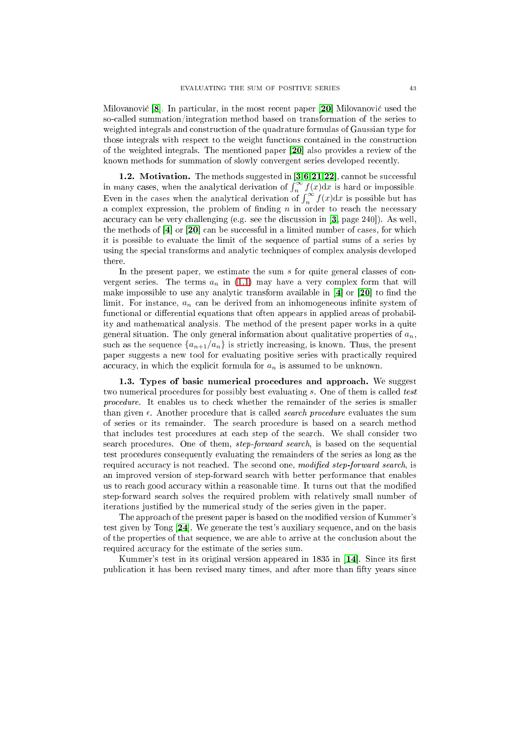Milovanović [8]. In particular, in the most recent paper [20] Milovanović used the soalled summation/integration method based on transformation of the series to weighted integrals and onstru
tion of the quadrature formulas of Gaussian type for those integrals with respe
t to the weight fun
tions ontained in the onstru
tion of the weighted integrals. The mentioned paper  $[20]$  also provides a review of the known methods for summation of slowly onvergent series developed re
ently.

1.2. Motivation. The methods suggested in  $[3,6,21,22]$  $[3,6,21,22]$  $[3,6,21,22]$  $[3,6,21,22]$ , cannot be successful in many cases, when the analytical derivation of  $\int_{n}^{\infty} f(x) dx$  is hard or impossible. Even in the cases when the analytical derivation of  $\int_{n}^{\infty} f(x) dx$  is possible but has a complex expression, the problem of finding  $n$  in order to reach the necessary accuracy can be very challenging (e.g. see the discussion in  $[3, \text{ page } 240]$  $[3, \text{ page } 240]$ ). As well, the methods of  $\mathbf{a}$  or  $\mathbf{a}$  or  $\mathbf{a}$  can be successful in a limited number of cases, for which it is possible to evaluate the limit of the sequen
e of partial sums of a series by using the spe
ial transforms and analyti te
hniques of omplex analysis developed there.

In the present paper, we estimate the sum  $s$  for quite general classes of convergent series. The terms  $a_n$  in [\(1.1\)](#page-0-0) may have a very complex form that will make impossible to use any analytic transform available in  $[4]$  or  $[20]$  to find the limit. For instance,  $a_n$  can be derived from an inhomogeneous infinite system of functional or differential equations that often appears in applied areas of probability and mathemati
al analysis. The method of the present paper works in a quite general situation. The only general information about qualitative properties of  $a_n$ , such as the sequence  $\{a_{n+1}/a_n\}$  is strictly increasing, is known. Thus, the present paper suggests a new tool for evaluating positive series with practically required accuracy, in which the explicit formula for  $a_n$  is assumed to be unknown.

1.3. Types of basic numerical procedures and approach. We suggest two numerical procedures for possibly best evaluating s. One of them is called test procedure. It enables us to check whether the remainder of the series is smaller than given  $\epsilon$ . Another procedure that is called *search procedure* evaluates the sum of series or its remainder. The sear
h pro
edure is based on a sear
h method that in
ludes test pro
edures at ea
h step of the sear
h. We shall onsider two search procedures. One of them, *step-forward search*, is based on the sequential test pro
edures onsequently evaluating the remainders of the series as long as the required accuracy is not reached. The second one, modified step-forward search, is an improved version of step-forward sear
h with better performan
e that enables us to reach good accuracy within a reasonable time. It turns out that the modified step-forward sear
h solves the required problem with relatively small number of iterations justified by the numerical study of the series given in the paper.

The approach of the present paper is based on the modified version of Kummer's test given by Tong  $[24]$ . We generate the test's auxiliary sequence, and on the basis of the properties of that sequen
e, we are able to arrive at the on
lusion about the required accuracy for the estimate of the series sum.

Kummer's test in its original version appeared in 1835 in [14]. Since its first publication it has been revised many times, and after more than fifty years since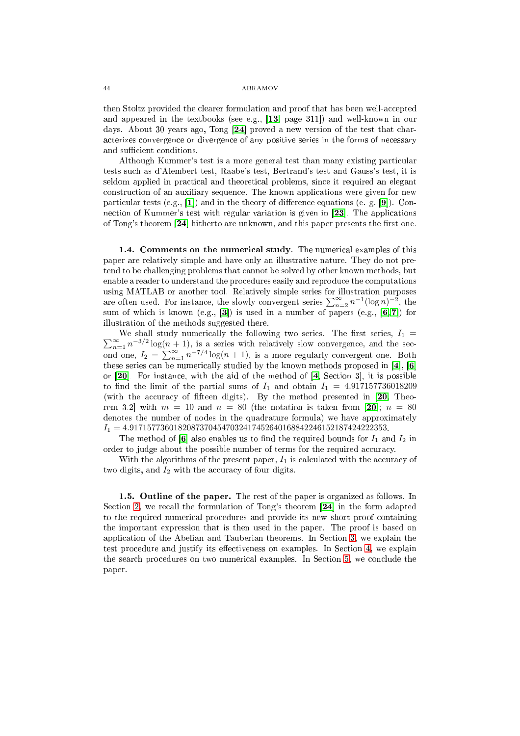then Stoltz provided the clearer formulation and proof that has been well-accepted and appeared in the textbooks (see e.g.,  $[13, \text{ page } 311]$  $[13, \text{ page } 311]$ ) and well-known in our days. About 30 years ago, Tong  $[24]$  proved a new version of the test that chara
terizes onvergen
e or divergen
e of any positive series in the forms of ne
essary and sufficient conditions.

Although Kummer's test is a more general test than many existing particular tests su
h as d'Alembert test, Raabe's test, Bertrand's test and Gauss's test, it is seldom applied in practical and theoretical problems, since it required an elegant onstru
tion of an auxiliary sequen
e. The known appli
ations were given for new particular tests (e.g.,  $[1]$ ) and in the theory of difference equations (e.g.  $[9]$ ). Connection of Kummer's test with regular variation is given in [23]. The applications of Tong's theorem  $[24]$  hitherto are unknown, and this paper presents the first one.

1.4. Comments on the numerical study. The numerical examples of this paper are relatively simple and have only an illustrative nature. They do not pretend to be hallenging problems that annot be solved by other known methods, but enable a reader to understand the pro
edures easily and reprodu
e the omputations using MATLAB or another tool. Relatively simple series for illustration purposes are often used. For instance, the slowly convergent series  $\sum_{n=2}^{\infty} n^{-1} (\log n)^{-2}$ , the sum of which is known (e.g., [3]) is used in a number of papers (e.g.,  $[6, 7]$  $[6, 7]$ ) for illustration of the methods suggested there.

 $\sum$ We shall study numerically the following two series. The first series,  $I_1 = \infty \atop n=1} n^{-3/2} \log(n+1)$ , is a series with relatively slow convergence, and the second one,  $I_2 = \sum_{n=1}^{\infty} n^{-7/4} \log(n+1)$ , is a more regularly convergent one. Both these series and by the known methods proposed in fact,  $\mathbf{r} = \mathbf{r} \cdot \mathbf{r}$ or  $[20]$ . For instance, with the aid of the method of  $[4,$  Section 3, it is possible to find the limit of the partial sums of  $I_1$  and obtain  $I_1 = 4.917157736018209$ (with the accuracy of fifteen digits). By the method presented in  $[20,$  Theorem 3.2 with  $m = 10$  and  $n = 80$  (the notation is taken from [20];  $n = 80$ denotes the number of nodes in the quadrature formula) we have approximately  $I_1 = 4.91715773601820873704547032417452640168842246152187424222353.$ 

The method of [6] also enables us to find the required bounds for  $I_1$  and  $I_2$  in order to judge about the possible number of terms for the required accuracy.

With the algorithms of the present paper,  $I_1$  is calculated with the accuracy of two digits, and  $I_2$  with the accuracy of four digits.

1.5. Outline of the paper. The rest of the paper is organized as follows. In Section [2,](#page-4-0) we recall the formulation of Tong's theorem  $[24]$  in the form adapted to the required numerical procedures and provide its new short proof containing the important expression that is then used in the paper. The proof is based on appli
ation of the Abelian and Tauberian theorems. In Se
tion [3,](#page-5-0) we explain the test procedure and justify its effectiveness on examples. In Section [4,](#page-7-0) we explain the search procedures on two numerical examples. In Section [5,](#page-9-0) we conclude the paper.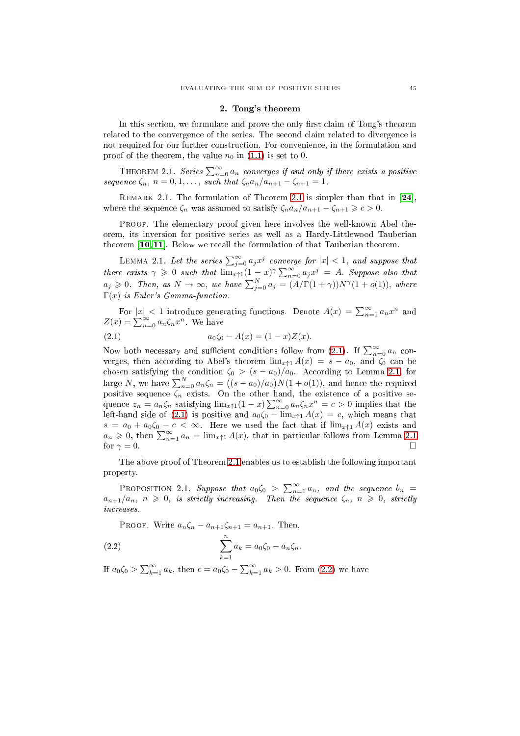### 2. Tong's theorem

<span id="page-4-0"></span>In this section, we formulate and prove the only first claim of Tong's theorem related to the convergence of the series. The second claim related to divergence is not required for our further onstru
tion. For onvenien
e, in the formulation and proof of the theorem, the value  $n_0$  in [\(1.1\)](#page-0-0) is set to 0.

<span id="page-4-1"></span>THEOREM 2.1. Series  $\sum_{n=0}^{\infty} a_n$  converges if and only if there exists a positive sequence  $\zeta_n$ ,  $n = 0, 1, \ldots$ , such that  $\zeta_n a_n/a_{n+1} - \zeta_{n+1} = 1$ .

REMARK [2.1](#page-4-1). The formulation of Theorem 2.1 is simpler than that in  $[24]$ , where the sequence  $\zeta_n$  was assumed to satisfy  $\zeta_n a_n/a_{n+1} - \zeta_{n+1} \geqslant c > 0$ .

PROOF. The elementary proof given here involves the well-known Abel theorem, its inversion for positive series as well as a Hardy-Littlewood Tauberian theorem  $[10, 11]$  $[10, 11]$ . Below we recall the formulation of that Tauberian theorem.

<span id="page-4-3"></span>LEMMA 2.1. Let the series  $\sum_{j=0}^{\infty} a_j x^j$  converge for  $|x| < 1$ , and suppose that there exists  $\gamma \geqslant 0$  such that  $\lim_{x \uparrow 1} (1-x)^{\gamma} \sum_{n=0}^{\infty} a_j x^j = A$ . Suppose also that  $a_j \geqslant 0$ . Then, as  $N \to \infty$ , we have  $\sum_{j=0}^N a_j = (A/\Gamma(1+\gamma))N^{\gamma}(1+o(1)),$  where  $\Gamma(x)$  is Euler's Gamma-function.

For  $|x| < 1$  introduce generating functions. Denote  $A(x) = \sum_{n=1}^{\infty} a_n x^n$  and  $Z(x) = \sum_{n=0}^{\infty} a_n \zeta_n x^n$ . We have

<span id="page-4-2"></span>(2.1) 
$$
a_0 \zeta_0 - A(x) = (1 - x)Z(x).
$$

Now both necessary and sufficient conditions follow from [\(2.1\)](#page-4-2). If  $\sum_{n=0}^{\infty} a_n$  converges, then according to Abel's theorem  $\lim_{x \uparrow 1} A(x) = s - a_0$ , and  $\zeta_0$  can be chosen satisfying the condition  $\zeta_0 > (s - a_0)/a_0$ . According to Lemma [2.1,](#page-4-3) for large N, we have  $\sum_{n=0}^{N} a_n \zeta_n = ((s - a_0)/a_0)N(1 + o(1))$ , and hence the required positive sequence  $\zeta_n$  exists. On the other hand, the existence of a positive sequence  $z_n = a_n \zeta_n$  satisfying  $\lim_{x \uparrow 1} (1-x) \sum_{n=0}^{\infty} a_n \zeta_n x^n = c > 0$  implies that the left-hand side of [\(2.1\)](#page-4-2) is positive and  $a_0\zeta_0 - \lim_{x \uparrow 1} A(x) = c$ , which means that  $s = a_0 + a_0 \zeta_0 - c < \infty$ . Here we used the fact that if  $\lim_{x \uparrow 1} A(x)$  exists and  $a_n \geq 0$ , then  $\sum_{n=1}^{\infty} a_n = \lim_{x \uparrow 1} A(x)$ , that in particular follows from Lemma [2.1](#page-4-3) for  $\gamma = 0$ .

The above proof of Theorem [2.1](#page-4-1) enables us to establish the following important property.

PROPOSITION 2.1. Suppose that  $a_0\zeta_0$  >  $\sum_{n=1}^{\infty} a_n$ , and the sequence  $b_n$  =  $a_{n+1}/a_n$ ,  $n \geq 0$ , is strictly increasing. Then the sequence  $\zeta_n$ ,  $n \geq 0$ , strictly in
reases.

<span id="page-4-4"></span>PROOF. Write  $a_n \zeta_n - a_{n+1} \zeta_{n+1} = a_{n+1}$ . Then,

(2.2) 
$$
\sum_{k=1}^{n} a_k = a_0 \zeta_0 - a_n \zeta_n.
$$

If  $a_0 \zeta_0 > \sum_{k=1}^{\infty} a_k$ , then  $c = a_0 \zeta_0 - \sum_{k=1}^{\infty} a_k > 0$ . From [\(2.2\)](#page-4-4) we have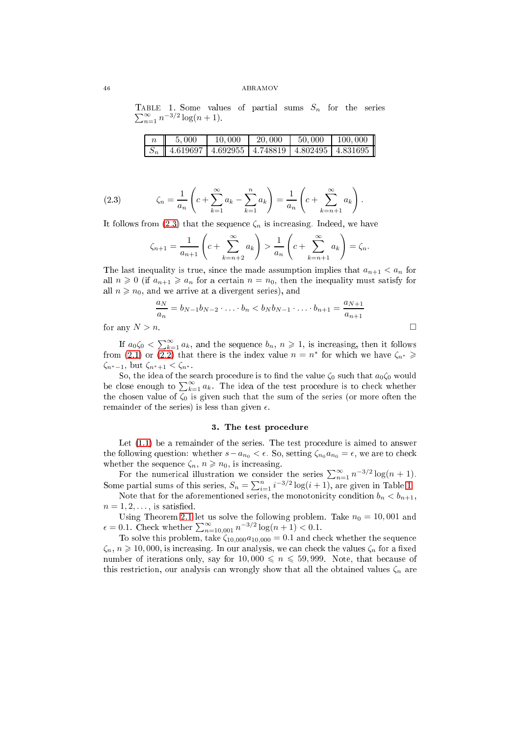TABLE 1. Some values of partial sums  $S_n$  for the series  $\sum_{n=1}^{\infty} n^{-3/2} \log(n+1)$ .

<span id="page-5-2"></span>

| 5,000                                                                                            | 10,000 | 20,000 | $1\,50,000$ | 100,000 |
|--------------------------------------------------------------------------------------------------|--------|--------|-------------|---------|
| $\mid S_n \mid \mid 4.6\overline{19697} \mid 4.692955 \mid 4.748819 \mid 4.802495 \mid 4.831695$ |        |        |             |         |

(2.3) 
$$
\zeta_n = \frac{1}{a_n} \left( c + \sum_{k=1}^{\infty} a_k - \sum_{k=1}^n a_k \right) = \frac{1}{a_n} \left( c + \sum_{k=n+1}^{\infty} a_k \right).
$$

It follows from [\(2.3\)](#page-5-1) that the sequence  $\zeta_n$  is increasing. Indeed, we have

<span id="page-5-1"></span>
$$
\zeta_{n+1} = \frac{1}{a_{n+1}} \left( c + \sum_{k=n+2}^{\infty} a_k \right) > \frac{1}{a_n} \left( c + \sum_{k=n+1}^{\infty} a_k \right) = \zeta_n.
$$

The last inequality is true, since the made assumption implies that  $a_{n+1} < a_n$  for all  $n \geq 0$  (if  $a_{n+1} \geq a_n$  for a certain  $n = n_0$ , then the inequality must satisfy for all  $n \geq n_0$ , and we arrive at a divergent series), and

$$
\frac{a_N}{a_n} = b_{N-1}b_{N-2}\cdot...\cdot b_n < b_N b_{N-1}\cdot...\cdot b_{n+1} = \frac{a_{N+1}}{a_{n+1}}
$$
  

$$
l > n.
$$

for any  $\Lambda$ 

If  $a_0 \zeta_0 < \sum_{k=1}^{\infty} a_k$ , and the sequence  $b_n$ ,  $n \geqslant 1$ , is increasing, then it follows from [\(2.1\)](#page-4-2) or [\(2.2\)](#page-4-4) that there is the index value  $n = n^*$  for which we have  $\zeta_{n^*} \geqslant$  $\zeta_{n^*-1}$ , but  $\zeta_{n^*+1} < \zeta_{n^*}$ .

So, the idea of the search procedure is to find the value  $\zeta_0$  such that  $a_0\zeta_0$  would be close enough to  $\sum_{k=1}^{\infty} a_k$ . The idea of the test procedure is to check whether the chosen value of  $\zeta_0$  is given such that the sum of the series (or more often the remainder of the series) is less than given  $\epsilon$ .

### 3. The test pro
edure

<span id="page-5-0"></span>Let  $(1.1)$  be a remainder of the series. The test procedure is aimed to answer the following question: whether  $s - a_{n_0} < \epsilon$ . So, setting  $\zeta_{n_0} a_{n_0} = \epsilon$ , we are to check whether the sequence  $\zeta_n$ ,  $n \geq n_0$ , is increasing.

For the numerical illustration we consider the series  $\sum_{n=1}^{\infty} n^{-3/2} \log(n+1)$ . Some partial sums of this series,  $S_n = \sum_{i=1}^n i^{-3/2} \log(i+1)$ , are given in Table [1.](#page-5-2)

Note that for the aforementioned series, the monotonicity condition  $b_n < b_{n+1}$ ,  $n = 1, 2, \ldots$ , is satisfied.

Using Theorem [2.1](#page-4-1) let us solve the following problem. Take  $n_0 = 10,001$  and  $\epsilon = 0.1$ . Check whether  $\sum_{n=10,001}^{\infty} n^{-3/2} \log(n+1) < 0.1$ .

To solve this problem, take  $\zeta_{10,000}a_{10,000} = 0.1$  and check whether the sequence  $\zeta_n$ ,  $n \geq 10,000$ , is increasing. In our analysis, we can check the values  $\zeta_n$  for a fixed number of iterations only, say for  $10,000 \le n \le 59,999$ . Note, that because of this restriction, our analysis can wrongly show that all the obtained values  $\zeta_n$  are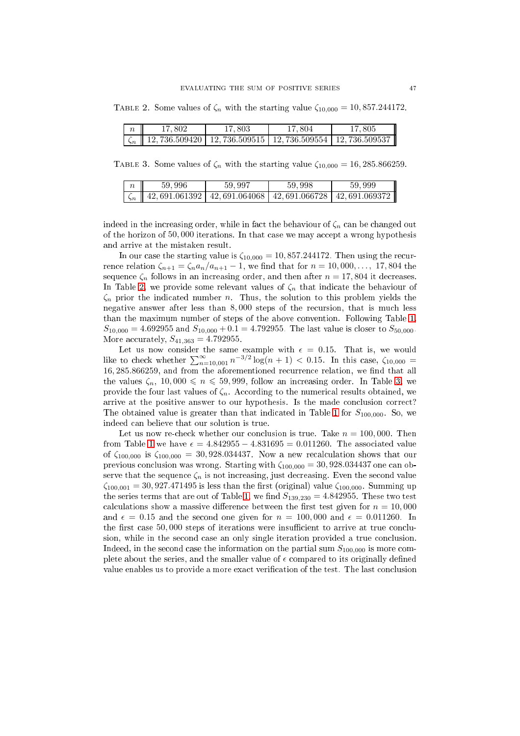TABLE 2. Some values of  $\zeta_n$  with the starting value  $\zeta_{10,000} = 10,857.244172$ .

<span id="page-6-0"></span>

| 17.802                                                                        | 17.803 | 17.804 | 17.805 |
|-------------------------------------------------------------------------------|--------|--------|--------|
| $\zeta_n$   12, 736.509420   12, 736.509515   12, 736.509554   12, 736.509537 |        |        |        |

TABLE 3. Some values of  $\zeta_n$  with the starting value  $\zeta_{10,000} = 16,285.866259$ .

<span id="page-6-1"></span>

| 59.996                                                                        | 59.997 | 59.998 | 59.999 |
|-------------------------------------------------------------------------------|--------|--------|--------|
| $\zeta_n$   42, 691.061392   42, 691.064068   42, 691.066728   42, 691.069372 |        |        |        |

indeed in the increasing order, while in fact the behaviour of  $\zeta_n$  can be changed out of the horizon of  $50,000$  iterations. In that case we may accept a wrong hypothesis and arrive at the mistaken result.

In our case the starting value is  $\zeta_{10,000} = 10,857.244172$ . Then using the recurrence relation  $\zeta_{n+1} = \zeta_n a_n/a_{n+1} - 1$ , we find that for  $n = 10,000,..., 17,804$  the sequence  $\zeta_n$  follows in an increasing order, and then after  $n = 17,804$  it decreases. In Table [2,](#page-6-0) we provide some relevant values of  $\zeta_n$  that indicate the behaviour of  $\zeta_n$  prior the indicated number *n*. Thus, the solution to this problem yields the negative answer after less than 8, 000 steps of the re
ursion, that is mu
h less than the maximum number of steps of the above onvention. Following Table [1,](#page-5-2)  $S_{10,000} = 4.692955$  and  $S_{10,000} + 0.1 = 4.792955$ . The last value is closer to  $S_{50,000}$ . More accurately,  $S_{41,363} = 4.792955$ .

Let us now consider the same example with  $\epsilon = 0.15$ . That is, we would like to check whether  $\sum_{n=10,001}^{\infty} n^{-3/2} \log(n+1) < 0.15$ . In this case,  $\zeta_{10,000} =$ 16, 285.866259, and from the aforementioned recurrence relation, we find that all the values  $\zeta_n$ , 10,000  $\leq n \leq 59,999$ , follow an increasing order. In Table [3,](#page-6-1) we provide the four last values of  $\zeta_n$ . According to the numerical results obtained, we arrive at the positive answer to our hypothesis. Is the made conclusion correct? The obtained value is greater than that indicated in Table [1](#page-5-2) for  $S_{100,000}$ . So, we indeed an believe that our solution is true.

Let us now re-check whether our conclusion is true. Take  $n = 100,000$ . Then from Table [1](#page-5-2) we have  $\epsilon = 4.842955 - 4.831695 = 0.011260$ . The associated value of  $\zeta_{100,000}$  is  $\zeta_{100,000} = 30,928.034437$ . Now a new recalculation shows that our previous conclusion was wrong. Starting with  $\zeta_{100,000} = 30,928.034437$  one can observe that the sequence  $\zeta_n$  is not increasing, just decreasing. Even the second value  $\zeta_{100,001} = 30,927.471495$  is less than the first (original) value  $\zeta_{100,000}$ . Summing up the series terms that are out of Table [1,](#page-5-2) we find  $S_{139,230} = 4.842955$ . These two test calculations show a massive difference between the first test given for  $n = 10,000$ and  $\epsilon = 0.15$  and the second one given for  $n = 100,000$  and  $\epsilon = 0.011260$ . In the first case  $50,000$  steps of iterations were insufficient to arrive at true conclusion, while in the second case an only single iteration provided a true conclusion. Indeed, in the second case the information on the partial sum  $S_{100,000}$  is more complete about the series, and the smaller value of  $\epsilon$  compared to its originally defined value enables us to provide a more exact verification of the test. The last conclusion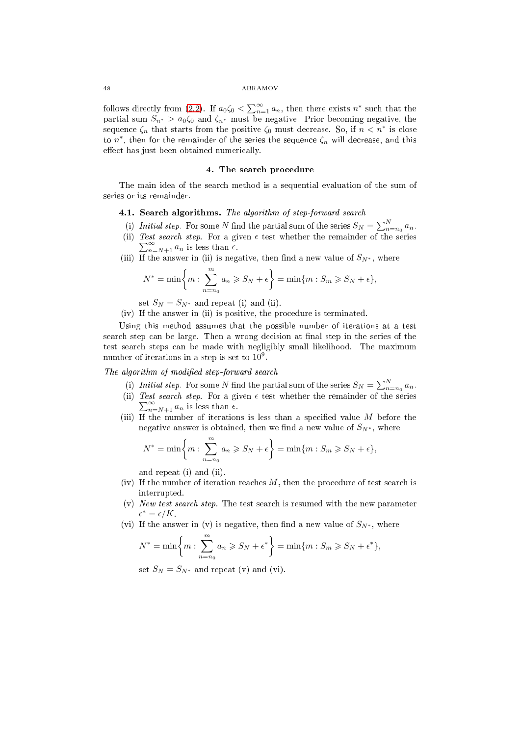follows directly from [\(2.2\)](#page-4-4). If  $a_0\zeta_0 < \sum_{n=1}^{\infty} a_n$ , then there exists  $n^*$  such that the partial sum  $S_{n^*} > a_0\zeta_0$  and  $\zeta_{n^*}$  must be negative. Prior becoming negative, the sequence  $\zeta_n$  that starts from the positive  $\zeta_0$  must decrease. So, if  $n < n^*$  is close to  $n^*$ , then for the remainder of the series the sequence  $\zeta_n$  will decrease, and this effect has just been obtained numerically.

# 4. The sear
h pro
edure

<span id="page-7-0"></span>The main idea of the sear
h method is a sequential evaluation of the sum of series or its remainder.

# 4.1. Sear
h algorithms. The algorithm of step-forward sear
h

- (i) Initial step. For some N find the partial sum of the series  $S_N = \sum_{n=n_0}^{N} a_n$ .
- (ii) Test search step. For a given  $\epsilon$  test whether the remainder of the series  $\sum_{n=N+1}^{\infty} a_n$  is less than  $\epsilon$ .
- (iii) If the answer in (ii) is negative, then find a new value of  $S_{N^*}$ , where

$$
N^* = \min\biggl\{m: \sum_{n=n_0}^m a_n \geqslant S_N + \epsilon\biggr\} = \min\{m: S_m \geqslant S_N + \epsilon\},\
$$

set  $S_N = S_{N^*}$  and repeat (i) and (ii).

(iv) If the answer in (ii) is positive, the pro
edure is terminated.

Using this method assumes that the possible number of iterations at a test search step can be large. Then a wrong decision at final step in the series of the test sear
h steps an be made with negligibly small likelihood. The maximum number of iterations in a step is set to  $10^9$ .

The algorithm of modified step-forward search

- (i) Initial step. For some N find the partial sum of the series  $S_N = \sum_{n=n_0}^{N} a_n$ .
- (ii) Test search step. For a given  $\epsilon$  test whether the remainder of the series  $\sum_{n=N+1}^{\infty} a_n$  is less than  $\epsilon$ .
- (iii) If the number of iterations is less than a specified value  $M$  before the negative answer is obtained, then we find a new value of  $S_{N^*}$ , where

$$
N^* = \min\left\{m : \sum_{n=n_0}^m a_n \geqslant S_N + \epsilon\right\} = \min\{m : S_m \geqslant S_N + \epsilon\},\
$$

and repeat (i) and (ii).

- (iv) If the number of iteration reaches  $M$ , then the procedure of test search is interrupted.
- (v) New test sear
h step. The test sear
h is resumed with the new parameter  $\epsilon^* = \epsilon/K$ .
- (vi) If the answer in (v) is negative, then find a new value of  $S_{N^*}$ , where

$$
N^* = \min\left\{m : \sum_{n=n_0}^m a_n \geqslant S_N + \epsilon^*\right\} = \min\{m : S_m \geqslant S_N + \epsilon^*\},\
$$

set  $S_N = S_{N^*}$  and repeat (v) and (vi).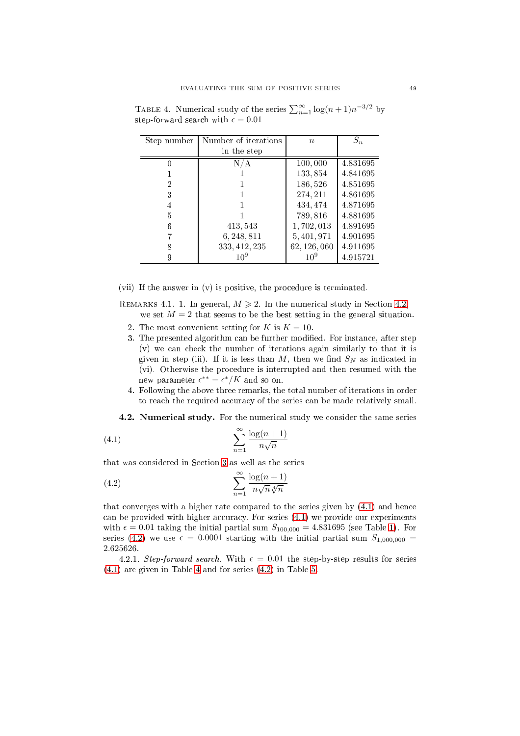| Step number | Number of iterations | $n_{\rm c}$     | $S_n$    |
|-------------|----------------------|-----------------|----------|
|             | in the step          |                 |          |
|             | A                    | 100,000         | 4.831695 |
|             |                      | 133,854         | 4.841695 |
| 2           |                      | 186,526         | 4.851695 |
| 3           |                      | 274, 211        | 4.861695 |
| 4           |                      | 434, 474        | 4.871695 |
| 5           |                      | 789,816         | 4.881695 |
| 6           | 413, 543             | 1,702,013       | 4.891695 |
|             | 6, 248, 811          | 5, 401, 971     | 4.901695 |
| 8           | 333, 412, 235        | 62, 126, 060    | 4.911695 |
| 9           | $10^{9}$             | 10 <sup>9</sup> | 4.915721 |

<span id="page-8-3"></span>TABLE 4. Numerical study of the series  $\sum_{n=1}^{\infty} \log(n+1) n^{-3/2}$  by step-forward search with  $\epsilon = 0.01$ 

(vii) If the answer in (v) is positive, the pro
edure is terminated.

REMARKS 4.1. 1. In general,  $M \ge 2$ . In the numerical study in Section [4.2,](#page-8-0) we set  $M = 2$  that seems to be the best setting in the general situation.

- 2. The most convenient setting for K is  $K = 10$ .
- 3. The presented algorithm can be further modified. For instance, after step (v) we an he
k the number of iterations again similarly to that it is given in step (iii). If it is less than M, then we find  $S_N$  as indicated in (vi). Otherwise the pro
edure is interrupted and then resumed with the new parameter  $\epsilon^{**} = \epsilon^* / K$  and so on.
- 4. Following the above three remarks, the total number of iterations in order to reach the required accuracy of the series can be made relatively small.

<span id="page-8-1"></span><span id="page-8-0"></span>4.2. Numerical study. For the numerical study we consider the same series

$$
\sum_{n=1}^{\infty} \frac{\log(n+1)}{n\sqrt{n}}
$$

that was onsidered in Se
tion [3](#page-5-0) as well as the series

<span id="page-8-2"></span>(4.2) 
$$
\sum_{n=1}^{\infty} \frac{\log(n+1)}{n\sqrt{n}\sqrt[4]{n}}
$$

that onverges with a higher rate ompared to the series given by [\(4.1\)](#page-8-1) and hen
e can be provided with higher accuracy. For series  $(4.1)$  we provide our experiments with  $\epsilon = 0.01$  taking the initial partial sum  $S_{100,000} = 4.831695$  (see Table [1\)](#page-5-2). For series [\(4.2\)](#page-8-2) we use  $\epsilon = 0.0001$  starting with the initial partial sum  $S_{1,000,000}$  = 2.625626.

4.2.1. Step-forward search. With  $\epsilon = 0.01$  the step-by-step results for series [\(4.1\)](#page-8-1) are given in Table [4](#page-8-3) and for series [\(4.2\)](#page-8-2) in Table [5.](#page-9-1)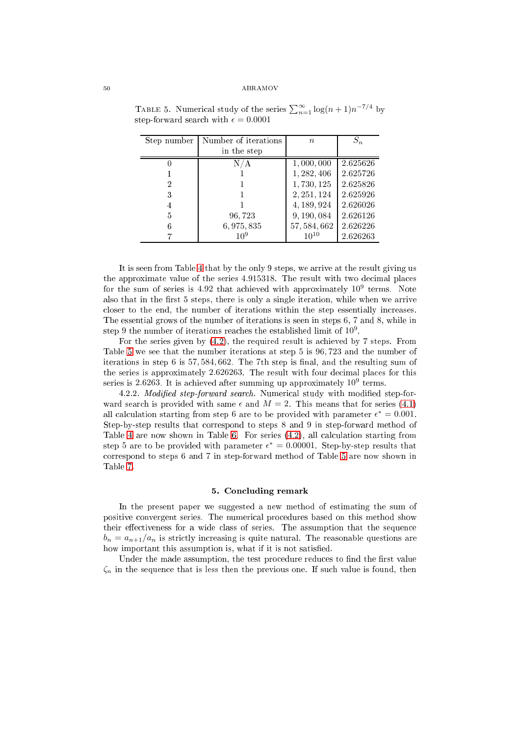| Step number | Number of iterations | $\boldsymbol{n}$ | $S_n$    |
|-------------|----------------------|------------------|----------|
|             | in the step          |                  |          |
|             | N/                   | 1,000,000        | 2.625626 |
|             |                      | 1, 282, 406      | 2.625726 |
| 2           |                      | 1,730,125        | 2.625826 |
| 3           |                      | 2, 251, 124      | 2.625926 |
| 4           |                      | 4, 189, 924      | 2.626026 |
| 5           | 96,723               | 9,190,084        | 2.626126 |
|             | 6, 975, 835          | 57, 584, 662     | 2.626226 |
|             | 109                  | $10^{10}$        | 2.626263 |

<span id="page-9-1"></span>TABLE 5. Numerical study of the series  $\sum_{n=1}^{\infty} \log(n+1) n^{-7/4}$  by step-forward search with  $\epsilon = 0.0001$ 

It is seen from Table [4](#page-8-3) that by the only 9 steps, we arrive at the result giving us the approximate value of the series 4.915318. The result with two decimal places for the sum of series is 4.92 that achieved with approximately  $10^9$  terms. Note also that in the first 5 steps, there is only a single iteration, while when we arrive closer to the end, the number of iterations within the step essentially increases. The essential grows of the number of iterations is seen in steps 6, 7 and 8, while in step 9 the number of iterations reaches the established limit of  $10^9$ .

For the series given by [\(4.2\)](#page-8-2), the required result is a
hieved by 7 steps. From Table [5](#page-9-1) we see that the number iterations at step 5 is 96, 723 and the number of iterations in step 6 is  $57,584,662$ . The 7th step is final, and the resulting sum of the series is approximately 2.626263. The result with four decimal places for this series is 2.6263. It is achieved after summing up approximately  $10^9$  terms.

4.2.2. Modified step-forward search. Numerical study with modified step-forward search is provided with same  $\epsilon$  and  $M = 2$ . This means that for series [\(4.1\)](#page-8-1) all calculation starting from step 6 are to be provided with parameter  $\epsilon^* = 0.001$ . Step-by-step results that orrespond to steps 8 and 9 in step-forward method of Table [4](#page-8-3) are now shown in Table [6.](#page-10-0) For series  $(4.2)$ , all calculation starting from step 5 are to be provided with parameter  $\epsilon^* = 0.00001$ . Step-by-step results that orrespond to steps 6 and 7 in step-forward method of Table [5](#page-9-1) are now shown in

### 5. Con
luding remark

<span id="page-9-0"></span>In the present paper we suggested a new method of estimating the sum of positive onvergent series. The numeri
al pro
edures based on this method show their effectiveness for a wide class of series. The assumption that the sequence  $b_n = a_{n+1}/a_n$  is strictly increasing is quite natural. The reasonable questions are how important this assumption is, what if it is not satisfied.

Under the made assumption, the test procedure reduces to find the first value  $\zeta_n$  in the sequence that is less then the previous one. If such value is found, then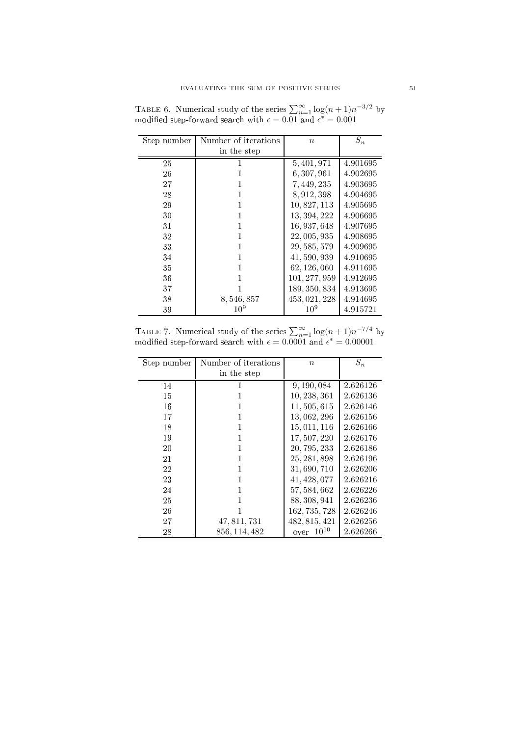<span id="page-10-0"></span>

| Step number | Number of iterations | $\boldsymbol{n}$ | $S_n$    |
|-------------|----------------------|------------------|----------|
|             | in the step          |                  |          |
| 25          |                      | 5, 401, 971      | 4.901695 |
| 26          |                      | 6, 307, 961      | 4.902695 |
| 27          |                      | 7, 449, 235      | 4.903695 |
| 28          |                      | 8, 912, 398      | 4.904695 |
| 29          |                      | 10, 827, 113     | 4.905695 |
| 30          |                      | 13, 394, 222     | 4.906695 |
| 31          | 1                    | 16, 937, 648     | 4.907695 |
| 32          | 1                    | 22, 005, 935     | 4.908695 |
| 33          |                      | 29, 585, 579     | 4.909695 |
| 34          |                      | 41, 590, 939     | 4.910695 |
| 35          |                      | 62, 126, 060     | 4.911695 |
| 36          |                      | 101, 277, 959    | 4.912695 |
| 37          |                      | 189, 350, 834    | 4.913695 |
| 38          | 8, 546, 857          | 453, 021, 228    | 4.914695 |
| 39          | $10^{9}$             | $10^{9}$         | 4.915721 |

TABLE 6. Numerical study of the series  $\sum_{n=1}^{\infty} \log(n+1) n^{-3/2}$  by modified step-forward search with  $\epsilon = 0.01$  and  $\epsilon^* = 0.001$ 

TABLE 7. Numerical study of the series  $\sum_{n=1}^{\infty} \log(n+1) n^{-7/4}$  by modified step-forward search with  $\epsilon = 0.0001$  and  $\epsilon^* = 0.00001$ 

<span id="page-10-1"></span>

| Step number | Number of iterations | $\boldsymbol{n}$  | $S_n$    |
|-------------|----------------------|-------------------|----------|
|             | in the step          |                   |          |
| 14          | 1                    | 9, 190, 084       | 2.626126 |
| 15          | 1                    | 10, 238, 361      | 2.626136 |
| 16          |                      | 11, 505, 615      | 2.626146 |
| 17          | 1                    | 13,062,296        | 2.626156 |
| 18          | 1                    | 15, 011, 116      | 2.626166 |
| 19          | 1                    | 17, 507, 220      | 2.626176 |
| 20          | 1                    | 20, 795, 233      | 2.626186 |
| 21          |                      | 25, 281, 898      | 2.626196 |
| 22          |                      | 31, 690, 710      | 2.626206 |
| 23          | 1                    | 41, 428, 077      | 2.626216 |
| 24          | 1                    | 57, 584, 662      | 2.626226 |
| 25          | 1                    | 88, 308, 941      | 2.626236 |
| 26          |                      | 162, 735, 728     | 2.626246 |
| 27          | 47, 811, 731         | 482, 815, 421     | 2.626256 |
| 28          | 856, 114, 482        | $10^{10}$<br>over | 2.626266 |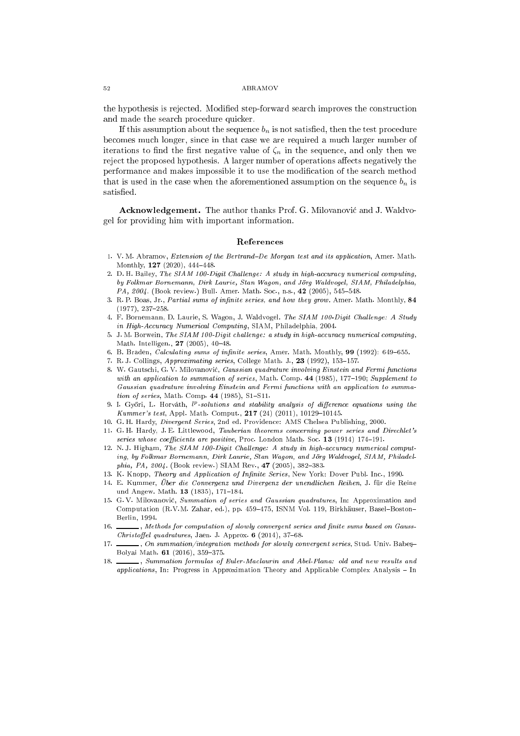the hypothesis is rejected. Modified step-forward search improves the construction and made the sear
h pro
edure qui
ker.

If this assumption about the sequence  $b_n$  is not satisfied, then the test procedure be
omes mu
h longer, sin
e in that ase we are required a mu
h larger number of iterations to find the first negative value of  $\zeta_n$  in the sequence, and only then we reject the proposed hypothesis. A larger number of operations affects negatively the performan
e and makes impossible it to use the modi
ation of the sear
h method that is used in the case when the aforementioned assumption on the sequence  $b_n$  is satisfied.

Acknowledgement. The author thanks Prof. G. Milovanović and J. Waldvogel for providing him with important information.

#### Referen
es

- <span id="page-11-10"></span>1. V.M. Abramov, Extension of the Bertrand–De Morgan test and its application. Amer. Math. Monthly,  $127$  (2020),  $444-448$ .
- <span id="page-11-3"></span>2. D. H. Bailey, The SIAM 100-Digit Challenge: A study in high-accuracy numerical computing, by Folkmar Bornemann, Dirk Laurie, Stan Wagon, and Jörg Waldvogel, SIAM, Philadelphia, PA, 2004. (Book review.) Bull. Amer. Math. Soc., n.s., 42 (2005), 545-548.
- <span id="page-11-0"></span>3. R. P. Boas, Jr., Partial sums of infinite series, and how they grow. Amer. Math. Monthly, 84  $(1977), 237-258.$
- <span id="page-11-2"></span>4. F. Bornemann, D. Laurie, S. Wagon, J. Waldvogel. The SIAM 100-Digit Challenge: A Study in High-Accuracy Numerical Computing, SIAM, Philadelphia, 2004.
- <span id="page-11-4"></span>5. J. M. Borwein, The SIAM 100-Digit challenge: a study in high-accuracy numerical computing, Math. Intelligen.,  $27$  (2005), 40-48.
- <span id="page-11-12"></span><span id="page-11-1"></span>6. B. Braden, Calculating sums of infinite series, Amer. Math. Monthly, 99 (1992): 649-655.
- <span id="page-11-7"></span>7. R. J. Collings, Approximating series, College Math. J., 23 (1992), 153-157.
- 8. W. Gautschi, G. V. Milovanović, Gaussian quadrature involving Einstein and Fermi functions with an application to summation of series, Math. Comp.  $44$  (1985), 177-190; Supplement to Gaussian quadrature involving Einstein and Fermi functions with an application to summa*tion of series*, Math. Comp. 44 (1985), S1-S11. tion of series, Math. Comp. <sup>44</sup> (1985), S1S11.
- <span id="page-11-11"></span>9. I. Győri, L. Horváth,  $l^p$ -solutions and stability analysis of difference equations using the Kummer's test, Appl. Math. Comput.,  $217$  (24) (2011), 10129-10145.
- <span id="page-11-14"></span><span id="page-11-13"></span>10. G. H. Hardy, Divergent Series, 2nd ed. Providen
e: AMS Chelsea Publishing, 2000.
- 11. G.H. Hardy, J.E. Littlewood, Tauberian theorems concerning power series and Direchlet's series whose coefficients are positive, Proc. London Math. Soc. 13 (1914) 174-191.
- <span id="page-11-5"></span>12. N.J. Higham, The SIAM 100-Digit Challenge: A study in high-accuracy numerical computing, by Folkmar Bornemann, Dirk Laurie, Stan Wagon, and Jörg Waldvogel, SIAM, Philadelphia, PA,  $2004$ . (Book review.) SIAM Rev., 47 (2005), 382-383.
- <span id="page-11-9"></span><span id="page-11-8"></span>13. K. Knopp, Theory and Application of Infinite Series, New York: Dover Publ. Inc., 1990.
- 14. E. Kummer, Über die Convergenz und Divergenz der unendlichen Reihen, J. für die Reine und Angew. Math. 13 (1835), 171-184.
- <span id="page-11-6"></span>15. G. V. Milovanovi¢, Summation of series and Gaussian quadratures, In: Approximation and Computation (R.V.M. Zahar, ed.), pp. 459-475, ISNM Vol. 119, Birkhäuser, Basel-Boston-Berlin, 1994.
- ., Methods for computation of slowly convergent series and finite sums based on Gauss-16 Christoffel quadratures, Jaen. J. Approx.  $6$  (2014), 37-68.
- 17.  $\_\_\_\_\$ , On summation/integration methods for slowly convergent series, Stud. Univ. Babes-Bolyai Math.  $61$  (2016), 359-375.
- 18. Summation formulas of Euler-Maclaurin and Abel-Plana: old and new results and applications, In: Progress in Approximation Theory and Applicable Complex Analysis - In